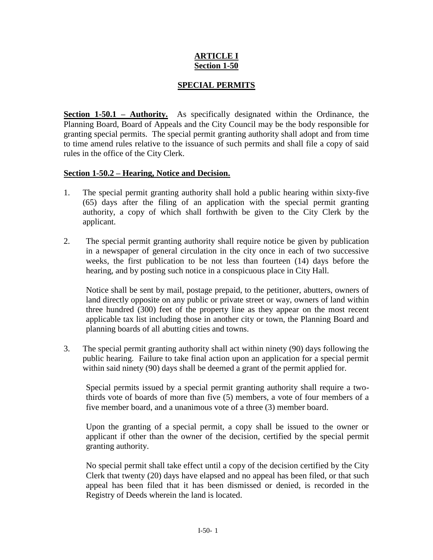## **ARTICLE I Section 1-50**

## **SPECIAL PERMITS**

**Section 1-50.1 – Authority.** As specifically designated within the Ordinance, the Planning Board, Board of Appeals and the City Council may be the body responsible for granting special permits. The special permit granting authority shall adopt and from time to time amend rules relative to the issuance of such permits and shall file a copy of said rules in the office of the City Clerk.

## **Section 1-50.2 – Hearing, Notice and Decision.**

- 1. The special permit granting authority shall hold a public hearing within sixty-five (65) days after the filing of an application with the special permit granting authority, a copy of which shall forthwith be given to the City Clerk by the applicant.
- 2. The special permit granting authority shall require notice be given by publication in a newspaper of general circulation in the city once in each of two successive weeks, the first publication to be not less than fourteen (14) days before the hearing, and by posting such notice in a conspicuous place in City Hall.

Notice shall be sent by mail, postage prepaid, to the petitioner, abutters, owners of land directly opposite on any public or private street or way, owners of land within three hundred (300) feet of the property line as they appear on the most recent applicable tax list including those in another city or town, the Planning Board and planning boards of all abutting cities and towns.

3. The special permit granting authority shall act within ninety (90) days following the public hearing. Failure to take final action upon an application for a special permit within said ninety (90) days shall be deemed a grant of the permit applied for.

Special permits issued by a special permit granting authority shall require a twothirds vote of boards of more than five (5) members, a vote of four members of a five member board, and a unanimous vote of a three (3) member board.

Upon the granting of a special permit, a copy shall be issued to the owner or applicant if other than the owner of the decision, certified by the special permit granting authority.

No special permit shall take effect until a copy of the decision certified by the City Clerk that twenty (20) days have elapsed and no appeal has been filed, or that such appeal has been filed that it has been dismissed or denied, is recorded in the Registry of Deeds wherein the land is located.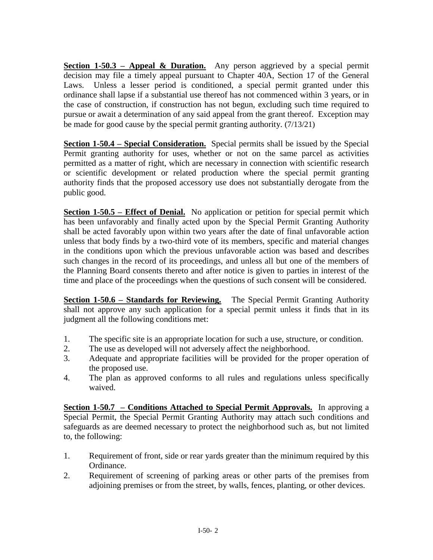**Section 1-50.3 – Appeal & Duration.** Any person aggrieved by a special permit decision may file a timely appeal pursuant to Chapter 40A, Section 17 of the General Laws. Unless a lesser period is conditioned, a special permit granted under this ordinance shall lapse if a substantial use thereof has not commenced within 3 years, or in the case of construction, if construction has not begun, excluding such time required to pursue or await a determination of any said appeal from the grant thereof. Exception may be made for good cause by the special permit granting authority. (7/13/21)

**Section 1-50.4 – Special Consideration.** Special permits shall be issued by the Special Permit granting authority for uses, whether or not on the same parcel as activities permitted as a matter of right, which are necessary in connection with scientific research or scientific development or related production where the special permit granting authority finds that the proposed accessory use does not substantially derogate from the public good.

**Section 1-50.5 – Effect of Denial.** No application or petition for special permit which has been unfavorably and finally acted upon by the Special Permit Granting Authority shall be acted favorably upon within two years after the date of final unfavorable action unless that body finds by a two-third vote of its members, specific and material changes in the conditions upon which the previous unfavorable action was based and describes such changes in the record of its proceedings, and unless all but one of the members of the Planning Board consents thereto and after notice is given to parties in interest of the time and place of the proceedings when the questions of such consent will be considered.

**Section 1-50.6 – Standards for Reviewing.** The Special Permit Granting Authority shall not approve any such application for a special permit unless it finds that in its judgment all the following conditions met:

- 1. The specific site is an appropriate location for such a use, structure, or condition.
- 2. The use as developed will not adversely affect the neighborhood.
- 3. Adequate and appropriate facilities will be provided for the proper operation of the proposed use.
- 4. The plan as approved conforms to all rules and regulations unless specifically waived.

**Section 1-50.7 – Conditions Attached to Special Permit Approvals.** In approving a Special Permit, the Special Permit Granting Authority may attach such conditions and safeguards as are deemed necessary to protect the neighborhood such as, but not limited to, the following:

- 1. Requirement of front, side or rear yards greater than the minimum required by this Ordinance.
- 2. Requirement of screening of parking areas or other parts of the premises from adjoining premises or from the street, by walls, fences, planting, or other devices.